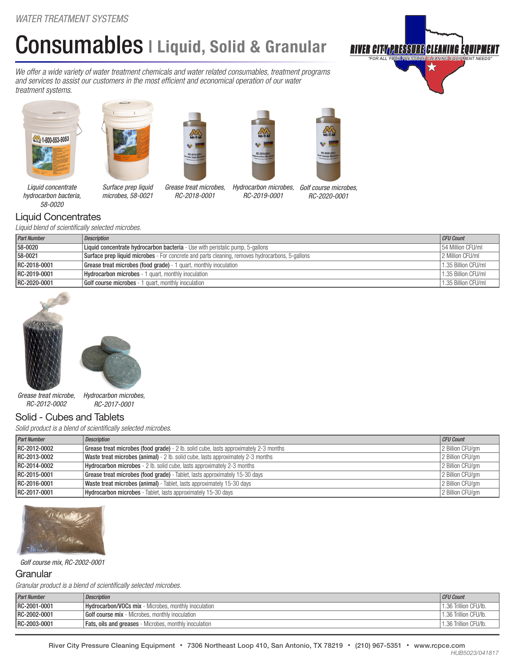# Consumables | Liquid, Solid & Granular

*We offer a wide variety of water treatment chemicals and water related consumables, treatment programs and services to assist our customers in the most efficient and economical operation of our water treatment systems.*





*microbes, 58-0021*





*Grease treat microbes, RC-2018-0001* 



*Hydrocarbon microbes, Golf course microbes,*

*RC-2020-0001*

*Liquid concentrate hydrocarbon bacteria, 58-0020*

## Liquid Concentrates

*Liquid blend of scientifically selected microbes.*

| <b>Part Number</b> | <b>Description</b>                                                                                     |                     |
|--------------------|--------------------------------------------------------------------------------------------------------|---------------------|
| 58-0020            | Liquid concentrate hydrocarbon bacteria - Use with peristalic pump, 5-gallons                          |                     |
| 58-0021            | <b>Surface prep liquid microbes</b> - For concrete and parts cleaning, removes hydrocarbons, 5-gallons |                     |
| RC-2018-0001       | <b>Grease treat microbes (food grade)</b> - 1 quart, monthly inoculation                               | 1.35 Billion CFU/ml |
| RC-2019-0001       | <b>Hydrocarbon microbes</b> - 1 quart, monthly inoculation                                             |                     |
| RC-2020-0001       | <b>Golf course microbes</b> - 1 quart, monthly inoculation                                             | 1.35 Billion CFU/ml |

*RC-2019-0001*





*Hydrocarbon microbes, RC-2017-0001 Grease treat microbe, RC-2012-0002*

## Solid - Cubes and Tablets

*Solid product is a blend of scientifically selected microbes.*

| <b>Part Number</b> | <b>Description</b>                                                                                               | CFU Count        |  |  |
|--------------------|------------------------------------------------------------------------------------------------------------------|------------------|--|--|
| RC-2012-0002       | 2 Billion CFU/gm<br><b>Grease treat microbes (food grade)</b> - 2 lb. solid cube, lasts approximately 2-3 months |                  |  |  |
| RC-2013-0002       | Waste treat microbes (animal) - 2 lb. solid cube, lasts approximately 2-3 months                                 | 2 Billion CFU/gm |  |  |
| RC-2014-0002       | <b>Hydrocarbon microbes</b> - 2 lb. solid cube, lasts approximately 2-3 months                                   | 2 Billion CFU/gm |  |  |
| RC-2015-0001       | <b>Grease treat microbes (food grade)</b> - Tablet, lasts approximately 15-30 days                               | 2 Billion CFU/gm |  |  |
| RC-2016-0001       | Waste treat microbes (animal) - Tablet, lasts approximately 15-30 days                                           | 2 Billion CFU/gm |  |  |
| RC-2017-0001       | Hydrocarbon microbes - Tablet, lasts approximately 15-30 days                                                    | 2 Billion CFU/gm |  |  |



#### *Golf course mix, RC-2002-0001*

### **Granular**

*Granular product is a blend of scientifically selected microbes.*

| <b>Part Number</b> | Description                                                   | <b>CFU Count</b>      |
|--------------------|---------------------------------------------------------------|-----------------------|
| RC-2001-0001       | <b>Hydrocarbon/VOCs mix</b> - Microbes, monthly inoculation   | 1.36 Trillion CFU/lb. |
| RC-2002-0001       | <b>Golf course mix</b> - Microbes, monthly inoculation        | 1.36 Trillion CFU/lb. |
| RC-2003-0001       | <b>Fats, oils and greases</b> - Microbes, monthly inoculation | 1.36 Trillion CFU/lb. |

## **RIVER CITY<u>(PRESSURE</u>** CLEANING EQUIPME)